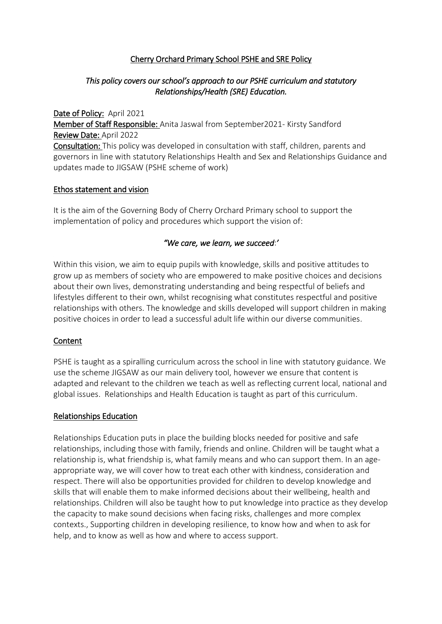## Cherry Orchard Primary School PSHE and SRE Policy

### *This policy covers our school's approach to our PSHE curriculum and statutory Relationships/Health (SRE) Education.*

Date of Policy: April 2021 Member of Staff Responsible: Anita Jaswal from September2021- Kirsty Sandford Review Date: April 2022 Consultation: This policy was developed in consultation with staff, children, parents and governors in line with statutory Relationships Health and Sex and Relationships Guidance and updates made to JIGSAW (PSHE scheme of work)

#### Ethos statement and vision

It is the aim of the Governing Body of Cherry Orchard Primary school to support the implementation of policy and procedures which support the vision of:

#### *"We care, we learn, we succeed*:*'*

Within this vision, we aim to equip pupils with knowledge, skills and positive attitudes to grow up as members of society who are empowered to make positive choices and decisions about their own lives, demonstrating understanding and being respectful of beliefs and lifestyles different to their own, whilst recognising what constitutes respectful and positive relationships with others. The knowledge and skills developed will support children in making positive choices in order to lead a successful adult life within our diverse communities.

#### Content

PSHE is taught as a spiralling curriculum across the school in line with statutory guidance. We use the scheme JIGSAW as our main delivery tool, however we ensure that content is adapted and relevant to the children we teach as well as reflecting current local, national and global issues. Relationships and Health Education is taught as part of this curriculum.

#### Relationships Education

Relationships Education puts in place the building blocks needed for positive and safe relationships, including those with family, friends and online. Children will be taught what a relationship is, what friendship is, what family means and who can support them. In an ageappropriate way, we will cover how to treat each other with kindness, consideration and respect. There will also be opportunities provided for children to develop knowledge and skills that will enable them to make informed decisions about their wellbeing, health and relationships. Children will also be taught how to put knowledge into practice as they develop the capacity to make sound decisions when facing risks, challenges and more complex contexts., Supporting children in developing resilience, to know how and when to ask for help, and to know as well as how and where to access support.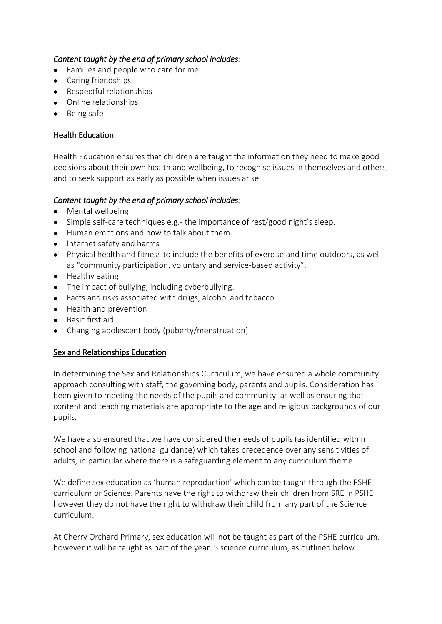## *Content taught by the end of primary school includes:*

- Families and people who care for me
- Caring friendships
- Respectful relationships
- Online relationships
- Being safe

## Health Education

Health Education ensures that children are taught the information they need to make good decisions about their own health and wellbeing, to recognise issues in themselves and others, and to seek support as early as possible when issues arise.

#### *Content taught by the end of primary school includes:*

- Mental wellbeing
- Simple self-care techniques e.g.- the importance of rest/good night's sleep.
- Human emotions and how to talk about them.
- Internet safety and harms
- Physical health and fitness to include the benefits of exercise and time outdoors, as well as "community participation, voluntary and service-based activity",
- $\bullet$  Healthy eating
- The impact of bullying, including cyberbullying.
- Facts and risks associated with drugs, alcohol and tobacco
- Health and prevention
- Basic first aid
- Changing adolescent body (puberty/menstruation)

#### Sex and Relationships Education

In determining the Sex and Relationships Curriculum, we have ensured a whole community approach consulting with staff, the governing body, parents and pupils. Consideration has been given to meeting the needs of the pupils and community, as well as ensuring that content and teaching materials are appropriate to the age and religious backgrounds of our pupils.

We have also ensured that we have considered the needs of pupils (as identified within school and following national guidance) which takes precedence over any sensitivities of adults, in particular where there is a safeguarding element to any curriculum theme.

We define sex education as 'human reproduction' which can be taught through the PSHE curriculum or Science. Parents have the right to withdraw their children from SRE in PSHE however they do not have the right to withdraw their child from any part of the Science curriculum.

At Cherry Orchard Primary, sex education will not be taught as part of the PSHE curriculum, however it will be taught as part of the year 5 science curriculum, as outlined below.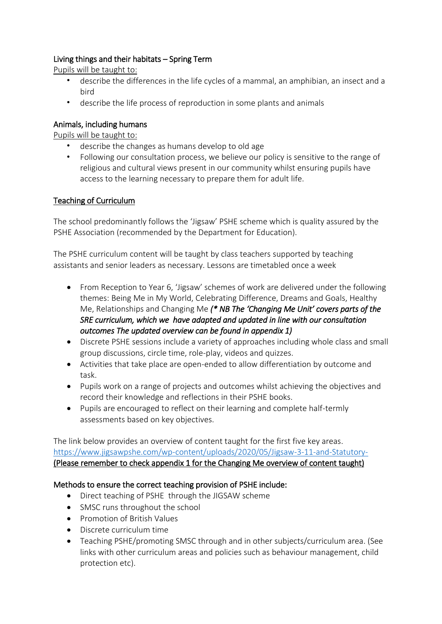## Living things and their habitats – Spring Term

Pupils will be taught to:

- describe the differences in the life cycles of a mammal, an amphibian, an insect and a bird
- describe the life process of reproduction in some plants and animals

## Animals, including humans

Pupils will be taught to:

- describe the changes as humans develop to old age
- Following our consultation process, we believe our policy is sensitive to the range of religious and cultural views present in our community whilst ensuring pupils have access to the learning necessary to prepare them for adult life.

#### Teaching of Curriculum

The school predominantly follows the 'Jigsaw' PSHE scheme which is quality assured by the PSHE Association (recommended by the Department for Education).

The PSHE curriculum content will be taught by class teachers supported by teaching assistants and senior leaders as necessary. Lessons are timetabled once a week

- From Reception to Year 6, 'Jigsaw' schemes of work are delivered under the following themes: Being Me in My World, Celebrating Difference, Dreams and Goals, Healthy Me, Relationships and Changing Me *(\* NB The 'Changing Me Unit' covers parts of the SRE curriculum, which we have adapted and updated in line with our consultation outcomes The updated overview can be found in appendix 1)*
- Discrete PSHE sessions include a variety of approaches including whole class and small group discussions, circle time, role-play, videos and quizzes.
- Activities that take place are open-ended to allow differentiation by outcome and task.
- Pupils work on a range of projects and outcomes whilst achieving the objectives and record their knowledge and reflections in their PSHE books.
- Pupils are encouraged to reflect on their learning and complete half-termly assessments based on key objectives.

The link below provides an overview of content taught for the first five key areas. <https://www.jigsawpshe.com/wp-content/uploads/2020/05/Jigsaw-3-11-and-Statutory-> (Please remember to check appendix 1 for the Changing Me overview of content taught)

#### Methods to ensure the correct teaching provision of PSHE include:

- Direct teaching of PSHE through the JIGSAW scheme
- SMSC runs throughout the school
- **•** Promotion of British Values
- Discrete curriculum time
- Teaching PSHE/promoting SMSC through and in other subjects/curriculum area. (See links with other curriculum areas and policies such as behaviour management, child protection etc).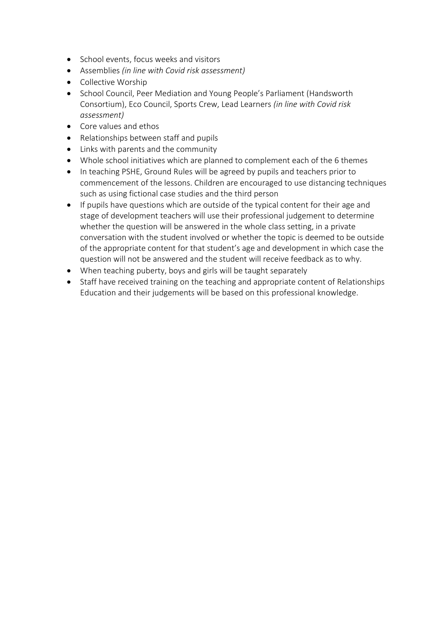- School events, focus weeks and visitors
- Assemblies *(in line with Covid risk assessment)*
- Collective Worship
- School Council, Peer Mediation and Young People's Parliament (Handsworth Consortium), Eco Council, Sports Crew, Lead Learners *(in line with Covid risk assessment)*
- Core values and ethos
- Relationships between staff and pupils
- Links with parents and the community
- Whole school initiatives which are planned to complement each of the 6 themes
- In teaching PSHE, Ground Rules will be agreed by pupils and teachers prior to commencement of the lessons. Children are encouraged to use distancing techniques such as using fictional case studies and the third person
- If pupils have questions which are outside of the typical content for their age and stage of development teachers will use their professional judgement to determine whether the question will be answered in the whole class setting, in a private conversation with the student involved or whether the topic is deemed to be outside of the appropriate content for that student's age and development in which case the question will not be answered and the student will receive feedback as to why.
- When teaching puberty, boys and girls will be taught separately
- Staff have received training on the teaching and appropriate content of Relationships Education and their judgements will be based on this professional knowledge.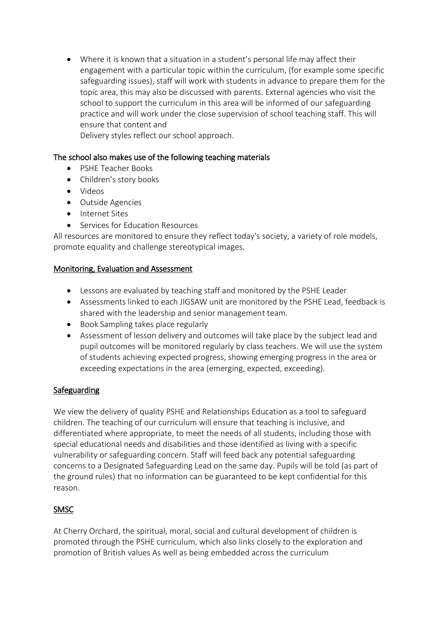Where it is known that a situation in a student's personal life may affect their engagement with a particular topic within the curriculum, (for example some specific safeguarding issues), staff will work with students in advance to prepare them for the topic area, this may also be discussed with parents. External agencies who visit the school to support the curriculum in this area will be informed of our safeguarding practice and will work under the close supervision of school teaching staff. This will ensure that content and

Delivery styles reflect our school approach.

## The school also makes use of the following teaching materials

- PSHE Teacher Books
- Children's story books
- Videos
- Outside Agencies
- Internet Sites
- **•** Services for Education Resources

All resources are monitored to ensure they reflect today's society, a variety of role models, promote equality and challenge stereotypical images.

#### Monitoring, Evaluation and Assessment

- Lessons are evaluated by teaching staff and monitored by the PSHE Leader
- Assessments linked to each JIGSAW unit are monitored by the PSHE Lead, feedback is shared with the leadership and senior management team.
- Book Sampling takes place regularly
- Assessment of lesson delivery and outcomes will take place by the subject lead and pupil outcomes will be monitored regularly by class teachers. We will use the system of students achieving expected progress, showing emerging progress in the area or exceeding expectations in the area (emerging, expected, exceeding).

# **Safeguarding**

We view the delivery of quality PSHE and Relationships Education as a tool to safeguard children. The teaching of our curriculum will ensure that teaching is inclusive, and differentiated where appropriate, to meet the needs of all students, including those with special educational needs and disabilities and those identified as living with a specific vulnerability or safeguarding concern. Staff will feed back any potential safeguarding concerns to a Designated Safeguarding Lead on the same day. Pupils will be told (as part of the ground rules) that no information can be guaranteed to be kept confidential for this reason.

# **SMSC**

At Cherry Orchard, the spiritual, moral, social and cultural development of children is promoted through the PSHE curriculum, which also links closely to the exploration and promotion of British values As well as being embedded across the curriculum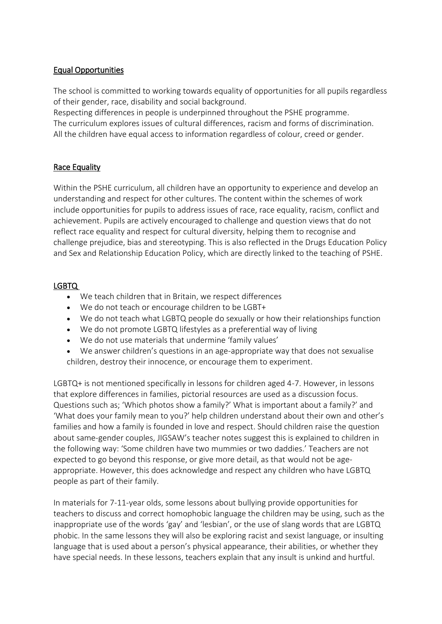## Equal Opportunities

The school is committed to working towards equality of opportunities for all pupils regardless of their gender, race, disability and social background.

Respecting differences in people is underpinned throughout the PSHE programme. The curriculum explores issues of cultural differences, racism and forms of discrimination. All the children have equal access to information regardless of colour, creed or gender.

#### Race Equality

Within the PSHE curriculum, all children have an opportunity to experience and develop an understanding and respect for other cultures. The content within the schemes of work include opportunities for pupils to address issues of race, race equality, racism, conflict and achievement. Pupils are actively encouraged to challenge and question views that do not reflect race equality and respect for cultural diversity, helping them to recognise and challenge prejudice, bias and stereotyping. This is also reflected in the Drugs Education Policy and Sex and Relationship Education Policy, which are directly linked to the teaching of PSHE.

#### LGBTQ

- We teach children that in Britain, we respect differences
- We do not teach or encourage children to be LGBT+
- We do not teach what LGBTQ people do sexually or how their relationships function
- We do not promote LGBTQ lifestyles as a preferential way of living
- We do not use materials that undermine 'family values'
- We answer children's questions in an age-appropriate way that does not sexualise children, destroy their innocence, or encourage them to experiment.

LGBTQ+ is not mentioned specifically in lessons for children aged 4-7. However, in lessons that explore differences in families, pictorial resources are used as a discussion focus. Questions such as; 'Which photos show a family?' What is important about a family?' and 'What does your family mean to you?' help children understand about their own and other's families and how a family is founded in love and respect. Should children raise the question about same-gender couples, JIGSAW's teacher notes suggest this is explained to children in the following way: 'Some children have two mummies or two daddies.' Teachers are not expected to go beyond this response, or give more detail, as that would not be ageappropriate. However, this does acknowledge and respect any children who have LGBTQ people as part of their family.

In materials for 7-11-year olds, some lessons about bullying provide opportunities for teachers to discuss and correct homophobic language the children may be using, such as the inappropriate use of the words 'gay' and 'lesbian', or the use of slang words that are LGBTQ phobic. In the same lessons they will also be exploring racist and sexist language, or insulting language that is used about a person's physical appearance, their abilities, or whether they have special needs. In these lessons, teachers explain that any insult is unkind and hurtful.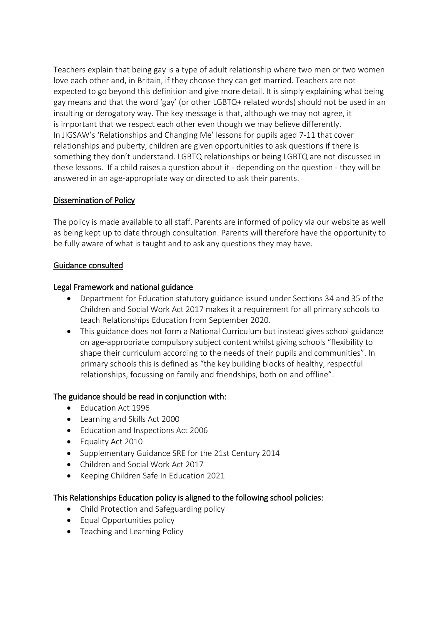Teachers explain that being gay is a type of adult relationship where two men or two women love each other and, in Britain, if they choose they can get married. Teachers are not expected to go beyond this definition and give more detail. It is simply explaining what being gay means and that the word 'gay' (or other LGBTQ+ related words) should not be used in an insulting or derogatory way. The key message is that, although we may not agree, it is important that we respect each other even though we may believe differently. In JIGSAW's 'Relationships and Changing Me' lessons for pupils aged 7-11 that cover relationships and puberty, children are given opportunities to ask questions if there is something they don't understand. LGBTQ relationships or being LGBTQ are not discussed in these lessons.  If a child raises a question about it - depending on the question - they will be answered in an age-appropriate way or directed to ask their parents.

#### Dissemination of Policy

The policy is made available to all staff. Parents are informed of policy via our website as well as being kept up to date through consultation. Parents will therefore have the opportunity to be fully aware of what is taught and to ask any questions they may have.

## Guidance consulted

#### Legal Framework and national guidance

- Department for Education statutory guidance issued under Sections 34 and 35 of the Children and Social Work Act 2017 makes it a requirement for all primary schools to teach Relationships Education from September 2020.
- This guidance does not form a National Curriculum but instead gives school guidance on age-appropriate compulsory subject content whilst giving schools "flexibility to shape their curriculum according to the needs of their pupils and communities". In primary schools this is defined as "the key building blocks of healthy, respectful relationships, focussing on family and friendships, both on and offline".

# The guidance should be read in conjunction with:

- Education Act 1996
- Learning and Skills Act 2000
- Education and Inspections Act 2006
- Equality Act 2010
- Supplementary Guidance SRE for the 21st Century 2014
- Children and Social Work Act 2017
- Keeping Children Safe In Education 2021

#### This Relationships Education policy is aligned to the following school policies:

- Child Protection and Safeguarding policy
- Equal Opportunities policy
- Teaching and Learning Policy